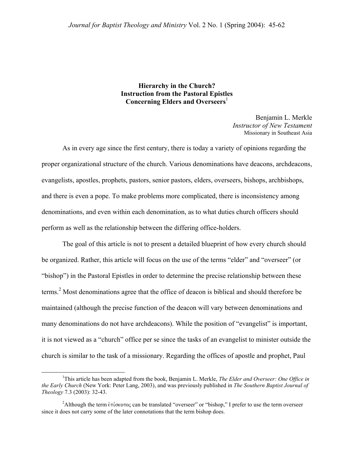## **Hierarchy in the Church? Instruction from the Pastoral Epistles Concerning Elders and Overseers**

Benjamin L. Merkle *Instructor of New Testament*  Missionary in Southeast Asia

 As in every age since the first century, there is today a variety of opinions regarding the proper organizational structure of the church. Various denominations have deacons, archdeacons, evangelists, apostles, prophets, pastors, senior pastors, elders, overseers, bishops, archbishops, and there is even a pope. To make problems more complicated, there is inconsistency among denominations, and even within each denomination, as to what duties church officers should perform as well as the relationship between the differing office-holders.

 The goal of this article is not to present a detailed blueprint of how every church should be organized. Rather, this article will focus on the use of the terms "elder" and "overseer" (or "bishop") in the Pastoral Epistles in order to determine the precise relationship between these terms.<sup>[2](#page-0-1)</sup> Most denominations agree that the office of deacon is biblical and should therefore be maintained (although the precise function of the deacon will vary between denominations and many denominations do not have archdeacons). While the position of "evangelist" is important, it is not viewed as a "church" office per se since the tasks of an evangelist to minister outside the church is similar to the task of a missionary. Regarding the offices of apostle and prophet, Paul

<span id="page-0-0"></span><sup>&</sup>lt;u>1</u> <sup>1</sup>This article has been adapted from the book, Benjamin L. Merkle, *The Elder and Overseer: One Office in the Early Church* (New York: Peter Lang, 2003), and was previously published in *The Southern Baptist Journal of Theology* 7.3 (2003): 32-43.

<span id="page-0-1"></span><sup>&</sup>lt;sup>2</sup>Although the term  $\epsilon \pi i \sigma \kappa \sigma \sigma \sigma \zeta$  can be translated "overseer" or "bishop," I prefer to use the term overseer since it does not carry some of the later connotations that the term bishop does.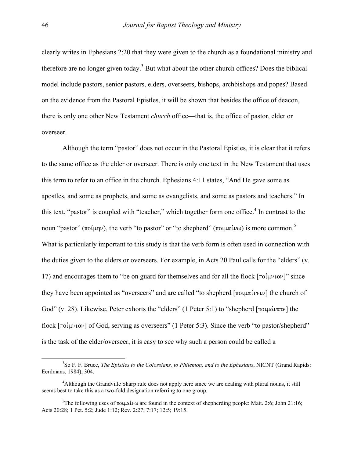clearly writes in Ephesians 2:20 that they were given to the church as a foundational ministry and therefore are no longer given today.<sup>3</sup> But what about the other church offices? Does the biblical model include pastors, senior pastors, elders, overseers, bishops, archbishops and popes? Based on the evidence from the Pastoral Epistles, it will be shown that besides the office of deacon, there is only one other New Testament *church* office—that is, the office of pastor, elder or overseer.

 Although the term "pastor" does not occur in the Pastoral Epistles, it is clear that it refers to the same office as the elder or overseer. There is only one text in the New Testament that uses this term to refer to an office in the church. Ephesians 4:11 states, "And He gave some as apostles, and some as prophets, and some as evangelists, and some as pastors and teachers." In this text, "pastor" is coupled with "teacher," which together form one office.<sup>[4](#page-1-1)</sup> In contrast to the noun "pastor" ( $\pi o(\mu\eta\nu)$ , the verb "to pastor" or "to shepherd" ( $\pi o(\mu\alpha\iota\nu\omega)$ ) is more common.<sup>[5](#page-1-2)</sup> What is particularly important to this study is that the verb form is often used in connection with the duties given to the elders or overseers. For example, in Acts 20 Paul calls for the "elders" (v. 17) and encourages them to "be on guard for themselves and for all the flock  $\lceil \pi o(\mu v \cdot \sigma') \rceil$ " since they have been appointed as "overseers" and are called "to shepherd  $[\pi \text{O}(\mu \alpha \mu \nu)]$  the church of God" (v. 28). Likewise, Peter exhorts the "elders" (1 Peter 5:1) to "shepherd [ $\pi$ οιμάνατε] the flock  $\lceil \text{no}( \mu \nu \text{.} \text{ov} \rceil \text{ of } G \text{od}, \text{ serving as overseers" (1 Peter 5:3). Since the verb "to pastor/shepherd" }$ is the task of the elder/overseer, it is easy to see why such a person could be called a

<span id="page-1-0"></span><sup>3</sup> So F. F. Bruce, *The Epistles to the Colossians, to Philemon, and to the Ephesians*, NICNT (Grand Rapids: Eerdmans, 1984), 304.

<span id="page-1-1"></span><sup>&</sup>lt;sup>4</sup> Although the Grandville Sharp rule does not apply here since we are dealing with plural nouns, it still seems best to take this as a two-fold designation referring to one group.

<span id="page-1-2"></span><sup>&</sup>lt;sup>5</sup>The following uses of  $\pi$ oulait was are found in the context of shepherding people: Matt. 2:6; John 21:16; Acts 20:28; 1 Pet. 5:2; Jude 1:12; Rev. 2:27; 7:17; 12:5; 19:15.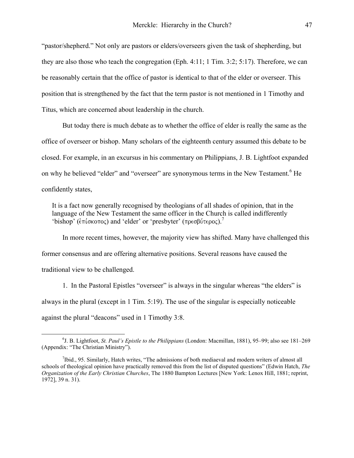"pastor/shepherd." Not only are pastors or elders/overseers given the task of shepherding, but they are also those who teach the congregation (Eph. 4:11; 1 Tim. 3:2; 5:17). Therefore, we can be reasonably certain that the office of pastor is identical to that of the elder or overseer. This position that is strengthened by the fact that the term pastor is not mentioned in 1 Timothy and Titus, which are concerned about leadership in the church.

 But today there is much debate as to whether the office of elder is really the same as the office of overseer or bishop. Many scholars of the eighteenth century assumed this debate to be closed. For example, in an excursus in his commentary on Philippians, J. B. Lightfoot expanded on why he believed "elder" and "overseer" are synonymous terms in the New Testament.<sup>6</sup> [H](#page-2-0)e confidently states,

It is a fact now generally recognised by theologians of all shades of opinion, that in the language of the New Testament the same officer in the Church is called indifferently 'bishop' ( $\epsilon \pi \omega$ <sub>c</sub>oro) and 'elder' or 'presbyter' ( $\pi \omega$  $\epsilon$ ρος).<sup>[7](#page-2-1)</sup>

 In more recent times, however, the majority view has shifted. Many have challenged this former consensus and are offering alternative positions. Several reasons have caused the traditional view to be challenged.

 1. In the Pastoral Epistles "overseer" is always in the singular whereas "the elders" is always in the plural (except in 1 Tim. 5:19). The use of the singular is especially noticeable against the plural "deacons" used in 1 Timothy 3:8.

<span id="page-2-0"></span> <sup>6</sup> J. B. Lightfoot, *St. Paul's Epistle to the Philippians* (London: Macmillan, 1881), 95–99; also see 181–269 (Appendix: "The Christian Ministry").

<span id="page-2-1"></span><sup>&</sup>lt;sup>7</sup>Ibid., 95. Similarly, Hatch writes, "The admissions of both mediaeval and modern writers of almost all schools of theological opinion have practically removed this from the list of disputed questions" (Edwin Hatch, *The Organization of the Early Christian Churches*, The 1880 Bampton Lectures [New York: Lenox Hill, 1881; reprint, 1972], 39 n. 31).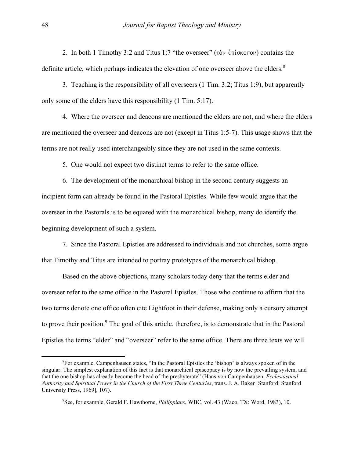2. In both 1 Timothy 3:2 and Titus 1:7 "the overseer" ( $\tau$ )  $\sigma$  entrol  $\sigma$ ) contains the definite article, which perhaps indicates the elevation of one overseer above the elders.<sup>[8](#page-3-0)</sup>

 3. Teaching is the responsibility of all overseers (1 Tim. 3:2; Titus 1:9), but apparently only some of the elders have this responsibility (1 Tim. 5:17).

 4. Where the overseer and deacons are mentioned the elders are not, and where the elders are mentioned the overseer and deacons are not (except in Titus 1:5-7). This usage shows that the terms are not really used interchangeably since they are not used in the same contexts.

5. One would not expect two distinct terms to refer to the same office.

 6. The development of the monarchical bishop in the second century suggests an incipient form can already be found in the Pastoral Epistles. While few would argue that the overseer in the Pastorals is to be equated with the monarchical bishop, many do identify the beginning development of such a system.

 7. Since the Pastoral Epistles are addressed to individuals and not churches, some argue that Timothy and Titus are intended to portray prototypes of the monarchical bishop.

 Based on the above objections, many scholars today deny that the terms elder and overseer refer to the same office in the Pastoral Epistles. Those who continue to affirm that the two terms denote one office often cite Lightfoot in their defense, making only a cursory attempt toprove their position.<sup>9</sup> The goal of this article, therefore, is to demonstrate that in the Pastoral Epistles the terms "elder" and "overseer" refer to the same office. There are three texts we will

<span id="page-3-0"></span> ${}^{8}$ For example, Campenhausen states, "In the Pastoral Epistles the 'bishop' is always spoken of in the singular. The simplest explanation of this fact is that monarchical episcopacy is by now the prevailing system, and that the one bishop has already become the head of the presbyterate" (Hans von Campenhausen, *Ecclesiastical Authority and Spiritual Power in the Church of the First Three Centuries*, trans. J. A. Baker [Stanford: Stanford University Press, 1969], 107).

<span id="page-3-1"></span><sup>9</sup> See, for example, Gerald F. Hawthorne, *Philippians*, WBC, vol. 43 (Waco, TX: Word, 1983), 10.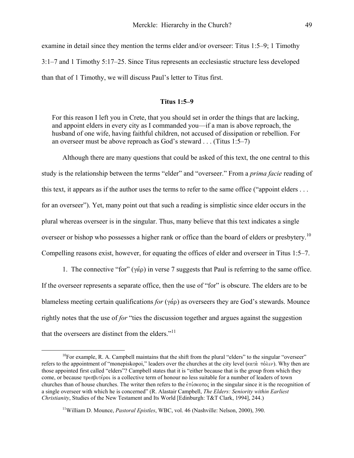examine in detail since they mention the terms elder and/or overseer: Titus 1:5–9; 1 Timothy 3:1–7 and 1 Timothy 5:17–25. Since Titus represents an ecclesiastic structure less developed than that of 1 Timothy, we will discuss Paul's letter to Titus first.

## **Titus 1:5–9**

For this reason I left you in Crete, that you should set in order the things that are lacking, and appoint elders in every city as I commanded you—if a man is above reproach, the husband of one wife, having faithful children, not accused of dissipation or rebellion. For an overseer must be above reproach as God's steward . . . (Titus 1:5–7)

 Although there are many questions that could be asked of this text, the one central to this study is the relationship between the terms "elder" and "overseer." From a *prima facie* reading of this text, it appears as if the author uses the terms to refer to the same office ("appoint elders . . . for an overseer"). Yet, many point out that such a reading is simplistic since elder occurs in the plural whereas overseer is in the singular. Thus, many believe that this text indicates a single overseer or bishop who possesses a higher rank or office than the board of elders or presbytery.<sup>10</sup> Compelling reasons exist, however, for equating the offices of elder and overseer in Titus 1:5–7.

1. The connective "for" ( $\gamma \dot{\alpha}$ ) in verse 7 suggests that Paul is referring to the same office. If the overseer represents a separate office, then the use of "for" is obscure. The elders are to be blameless meeting certain qualifications *for* ( $\gamma \dot{\alpha}$ ) as overseers they are God's stewards. Mounce rightly notes that the use of *for* "ties the discussion together and argues against the suggestion that the overseers are distinct from the elders." $11$ 

<span id="page-4-0"></span> $10$ For example, R. A. Campbell maintains that the shift from the plural "elders" to the singular "overseer" refers to the appointment of "monepiskopoi," leaders over the churches at the city level ( $\kappa \alpha \tau \dot{\alpha} \pi \dot{\alpha} \lambda \nu$ ). Why then are those appointed first called "elders"? Campbell states that it is "either because that is the group from which they come, or because πρεσβυτέροι is a collective term of honour no less suitable for a number of leaders of town churches than of house churches. The writer then refers to the  $\epsilon \pi$  ( $\epsilon$ ) in the singular since it is the recognition of a single overseer with which he is concerned" (R. Alastair Campbell, *The Elders: Seniority within Earliest Christianity*, Studies of the New Testament and Its World [Edinburgh: T&T Clark, 1994], 244.)

<span id="page-4-1"></span><sup>11</sup>William D. Mounce, *Pastoral Epistles*, WBC, vol. 46 (Nashville: Nelson, 2000), 390.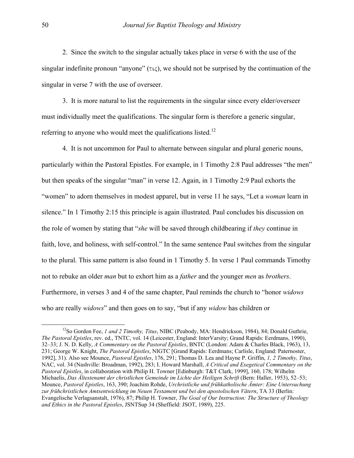2. Since the switch to the singular actually takes place in verse 6 with the use of the singular indefinite pronoun "anyone"  $(\tau \zeta)$ , we should not be surprised by the continuation of the singular in verse 7 with the use of overseer.

 3. It is more natural to list the requirements in the singular since every elder/overseer must individually meet the qualifications. The singular form is therefore a generic singular, referring to anyone who would meet the qualifications listed.<sup>12</sup>

 4. It is not uncommon for Paul to alternate between singular and plural generic nouns, particularly within the Pastoral Epistles. For example, in 1 Timothy 2:8 Paul addresses "the men" but then speaks of the singular "man" in verse 12. Again, in 1 Timothy 2:9 Paul exhorts the "women" to adorn themselves in modest apparel, but in verse 11 he says, "Let a *woman* learn in silence." In 1 Timothy 2:15 this principle is again illustrated. Paul concludes his discussion on the role of women by stating that "*she* will be saved through childbearing if *they* continue in faith, love, and holiness, with self-control." In the same sentence Paul switches from the singular to the plural. This same pattern is also found in 1 Timothy 5. In verse 1 Paul commands Timothy not to rebuke an older *man* but to exhort him as a *father* and the younger *men* as *brothers*. Furthermore, in verses 3 and 4 of the same chapter, Paul reminds the church to "honor *widows* who are really *widows*" and then goes on to say, "but if any *widow* has children or

<span id="page-5-0"></span><sup>12</sup>So Gordon Fee, *1 and 2 Timothy, Titus*, NIBC (Peabody, MA: Hendrickson, 1984), 84; Donald Guthrie, *The Pastoral Epistles*, rev. ed., TNTC, vol. 14 (Leicester, England: InterVarsity; Grand Rapids: Eerdmans, 1990), 32–33; J. N. D. Kelly, *A Commentary on the Pastoral Epistles*, BNTC (London: Adam & Charles Black, 1963), 13, 231; George W. Knight, *The Pastoral Epistles*, NIGTC [Grand Rapids: Eerdmans; Carlisle, England: Paternoster, 1992], 31). Also see Mounce, *Pastoral Epistles*, 176, 291; Thomas D. Lea and Hayne P. Griffin, *1, 2 Timothy, Titus*, NAC, vol. 34 (Nashville: Broadman, 1992), 283; I. Howard Marshall, *A Critical and Exegetical Commentary on the Pastoral Epistles*, in collaboration with Philip H. Towner [Edinburgh: T&T Clark, 1999], 160, 178; Wilhelm Michaelis, *Das Ältestenamt der christlichen Gemeinde im Lichte der Heiligen Schrift* (Bern: Haller, 1953), 52–53; Mounce, *Pastoral Epistles*, 163, 390; Joachim Rohde, *Urchristliche und frühkatholische Ämter: Eine Untersuchung zur frühchristlichen Amtsentwicklung im Neuen Testament und bei den apostolischen Vätern*, TA 33 (Berlin: Evangelische Verlagsanstalt, 1976), 87; Philip H. Towner, *The Goal of Our Instruction: The Structure of Theology and Ethics in the Pastoral Epistles*, JSNTSup 34 (Sheffield: JSOT, 1989), 225.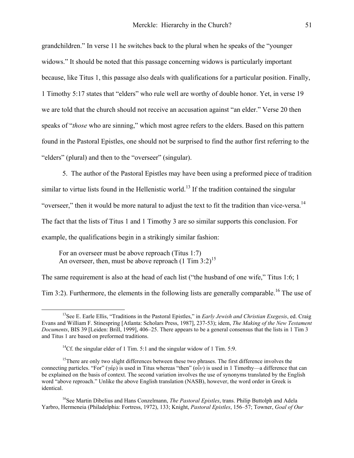<span id="page-6-3"></span>grandchildren." In verse 11 he switches back to the plural when he speaks of the "younger widows." It should be noted that this passage concerning widows is particularly important because, like Titus 1, this passage also deals with qualifications for a particular position. Finally, 1 Timothy 5:17 states that "elders" who rule well are worthy of double honor. Yet, in verse 19 we are told that the church should not receive an accusation against "an elder." Verse 20 then speaks of "*those* who are sinning," which most agree refers to the elders. Based on this pattern found in the Pastoral Epistles, one should not be surprised to find the author first referring to the "elders" (plural) and then to the "overseer" (singular).

 5. The author of the Pastoral Epistles may have been using a preformed piece of tradition similar to virtue lists found in the Hellenistic world.<sup>13</sup> If the tradition contained the singular "overseer," then it would be more natural to adjust the text to fit the tradition than vice-versa.<sup>14</sup> The fact that the lists of Titus 1 and 1 Timothy 3 are so similar supports this conclusion. For example, the qualifications begin in a strikingly similar fashion:

For an overseer must be above reproach (Titus 1:7) An overseer, then, must be above reproach  $(1 \text{ Tim } 3:2)^{15}$  $(1 \text{ Tim } 3:2)^{15}$  $(1 \text{ Tim } 3:2)^{15}$ 

The same requirement is also at the head of each list ("the husband of one wife," Titus 1:6; 1

Tim 3:2). Furthermore, the elements in the following lists are generally comparable.<sup>16</sup> The use of

<span id="page-6-0"></span><sup>&</sup>lt;sup>13</sup>See E. Earle Ellis, "Traditions in the Pastoral Epistles," in *Early Jewish and Christian Exegesis*, ed. Craig Evans and William F. Stinespring [Atlanta: Scholars Press, 1987], 237-53); idem, *The Making of the New Testament Documents*, BIS 39 [Leiden: Brill, 1999], 406–25. There appears to be a general consensus that the lists in 1 Tim 3 and Titus 1 are based on preformed traditions.

<span id="page-6-2"></span><span id="page-6-1"></span><sup>&</sup>lt;sup>14</sup>Cf. the singular elder of 1 Tim. 5:1 and the singular widow of 1 Tim. 5:9.

<sup>&</sup>lt;sup>15</sup>There are only two slight differences between these two phrases. The first difference involves the connecting particles. "For"  $(\gamma \dot{\alpha}_p)$  is used in Titus whereas "then" (ov) is used in 1 Timothy—a difference that can be explained on the basis of context. The second variation involves the use of synonyms translated by the English word "above reproach." Unlike the above English translation (NASB), however, the word order in Greek is identical.

<sup>&</sup>lt;sup>16</sup>See Martin Dibelius and Hans Conzelmann, *The Pastoral Epistles*, trans. Philip Buttolph and Adela Yarbro, Hermeneia (Philadelphia: Fortress, 1972), 133; Knight, *Pastoral Epistles*, 156–57; Towner, *Goal of Our*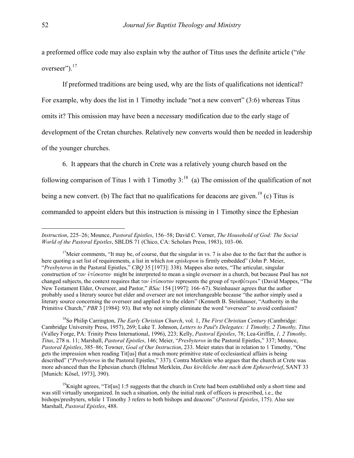a preformed office code may also explain why the author of Titus uses the definite article ("*the* overseer").<sup>17</sup>

 If preformed traditions are being used, why are the lists of qualifications not identical? For example, why does the list in 1 Timothy include "not a new convert" (3:6) whereas Titus omits it? This omission may have been a necessary modification due to the early stage of development of the Cretan churches. Relatively new converts would then be needed in leadership of the younger churches.

6. It appears that the church in Crete was a relatively young church based on the

following comparison of Titus 1 with 1 Timothy  $3$ <sup>18</sup> (a) The omission of the qualification of not being a new convert. (b) The fact that no qualifications for deacons are given.<sup>19</sup> (c) Titus is commanded to appoint elders but this instruction is missing in 1 Timothy since the Ephesian

<span id="page-7-1"></span>18So Philip Carrington, *The Early Christian Church*, vol. 1, *The First Christian Century* (Cambridge: Cambridge University Press, 1957), 269; Luke T. Johnson, *Letters to Paul's Delegates: 1 Timothy, 2 Timothy, Titus* (Valley Forge, PA: Trinity Press International, 1996), 223; Kelly, *Pastoral Epistles*, 78; Lea-Griffin, *1, 2 Timothy, Titus*, 278 n. 11; Marshall, *Pastoral Epistles*, 146; Meier, "*Presbyteros* in the Pastoral Epistles," 337; Mounce, *Pastoral Epistles*, 385–86; Towner, *Goal of Our Instruction*, 233. Meier states that in relation to 1 Timothy, "One gets the impression when reading Tit[us] that a much more primitive state of ecclesiastical affairs is being described" ("*Presbyteros* in the Pastoral Epistles," 337). Contra Merklein who argues that the church at Crete was more advanced than the Ephesian church (Helmut Merklein, *Das kirchliche Amt nach dem Epheserbrief*, SANT 33 [Munich: Kösel, 1973], 390).

*Instruction*, 225–26; Mounce, *Pastoral Epistles*, 156–58; David C. Verner, *The Household of God: The Social World of the Pastoral Epistles*, SBLDS 71 (Chico, CA: Scholars Press, 1983), 103–06.

<span id="page-7-0"></span><sup>&</sup>lt;sup>17</sup>Meier comments, "It may be, of course, that the singular in vs. 7 is also due to the fact that the author is here quoting a set list of requirements, a list in which *ton episkopon* is firmly embedded" (John P. Meier, "*Presbyteros* in the Pastoral Epistles," *CBQ* 35 [1973]: 338). Mappes also notes, "The articular, singular construction of  $\tau \omega$  et  $\phi$  every might be interpreted to mean a single overseer in a church, but because Paul has not changed subjects, the context requires that  $\tau \circ \nu$  entrolled represents the group of  $\tau \circ \nu$  (David Mappes, "The New Testament Elder, Overseer, and Pastor," *BSac* 154 [1997]: 166–67). Steinhauser agrees that the author probably used a literary source but elder and overseer are not interchangeable because "the author simply used a literary source concerning the overseer and applied it to the elders" (Kenneth B. Steinhauser, "Authority in the Primitive Church," *PBR* 3 [1984]: 93). But why not simply eliminate the word "overseer" to avoid confusion?

<span id="page-7-2"></span><sup>&</sup>lt;sup>19</sup>Knight agrees, "Tit<sup>[</sup>us] 1:5 suggests that the church in Crete had been established only a short time and was still virtually unorganized. In such a situation, only the initial rank of officers is prescribed, i.e., the bishops/presbyters, while 1 Timothy 3 refers to both bishops and deacons" (*Pastoral Epistles*, 175). Also see Marshall, *Pastoral Epistles*, 488.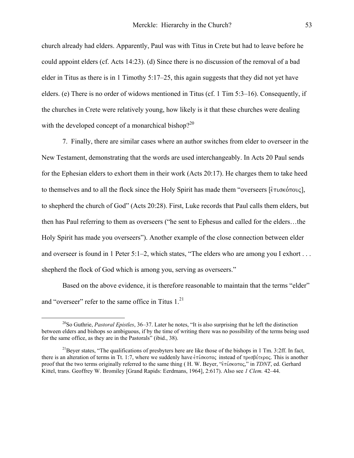church already had elders. Apparently, Paul was with Titus in Crete but had to leave before he could appoint elders (cf. Acts 14:23). (d) Since there is no discussion of the removal of a bad elder in Titus as there is in 1 Timothy 5:17–25, this again suggests that they did not yet have elders. (e) There is no order of widows mentioned in Titus (cf. 1 Tim 5:3–16). Consequently, if the churches in Crete were relatively young, how likely is it that these churches were dealing with the developed concept of a monarchical bishop?<sup>[20](#page-8-0)</sup>

 7. Finally, there are similar cases where an author switches from elder to overseer in the New Testament, demonstrating that the words are used interchangeably. In Acts 20 Paul sends for the Ephesian elders to exhort them in their work (Acts 20:17). He charges them to take heed to themselves and to all the flock since the Holy Spirit has made them "overseers [ $\epsilon \pi \omega \kappa \delta \pi \omega c$ ], to shepherd the church of God" (Acts 20:28). First, Luke records that Paul calls them elders, but then has Paul referring to them as overseers ("he sent to Ephesus and called for the elders…the Holy Spirit has made you overseers"). Another example of the close connection between elder and overseer is found in 1 Peter 5:1–2, which states, "The elders who are among you I exhort . . . shepherd the flock of God which is among you, serving as overseers."

 Based on the above evidence, it is therefore reasonable to maintain that the terms "elder" and "overseer" refer to the same office in Titus  $1<sup>21</sup>$ 

<span id="page-8-0"></span> <sup>20</sup>So Guthrie, *Pastoral Epistles*, 36–37. Later he notes, "It is also surprising that he left the distinction between elders and bishops so ambiguous, if by the time of writing there was no possibility of the terms being used for the same office, as they are in the Pastorals" (ibid., 38).

<span id="page-8-1"></span> $^{21}$ Beyer states, "The qualifications of presbyters here are like those of the bishops in 1 Tm. 3:2ff. In fact, there is an alteration of terms in Tt. 1:7, where we suddenly have  $\epsilon \pi i \sigma \kappa \sigma \tau o \sigma$  instead of  $\pi o \epsilon \sigma \delta \nu \tau o \sigma$ . This is another proof that the two terms originally referred to the same thing (H. W. Beyer, "επίσκοπος," in *TDNT*, ed. Gerhard Kittel, trans. Geoffrey W. Bromiley [Grand Rapids: Eerdmans, 1964], 2:617). Also see *1 Clem.* 42–44.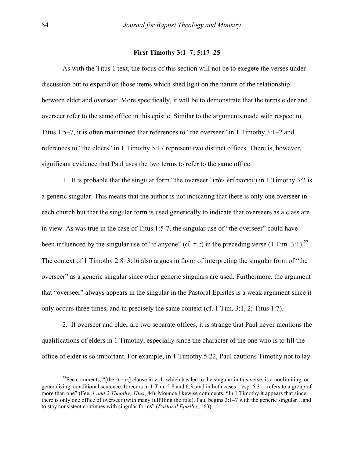## **First Timothy 3:1–7; 5:17–25**

 As with the Titus 1 text, the focus of this section will not be to exegete the verses under discussion but to expand on those items which shed light on the nature of the relationship between elder and overseer. More specifically, it will be to demonstrate that the terms elder and overseer refer to the same office in this epistle. Similar to the arguments made with respect to Titus 1:5–7, it is often maintained that references to "the overseer" in 1 Timothy 3:1–2 and references to "the elders" in 1 Timothy 5:17 represent two distinct offices. There is, however, significant evidence that Paul uses the two terms to refer to the same office.

1. It is probable that the singular form "the overseer" ( $\tau \delta \nu \epsilon \pi \delta \omega$ ) in 1 Timothy 3:2 is a generic singular. This means that the author is not indicating that there is only one overseer in each church but that the singular form is used generically to indicate that overseers as a class are in view. As was true in the case of Titus 1:5-7, the singular use of "the overseer" could have been influenced by the singular use of "if anyone" ( $\epsilon \tilde{i} \tau \iota \zeta$ ) in the preceding verse (1 Tim. 3:1).<sup>[22](#page-9-0)</sup> The context of 1 Timothy 2:8–3:16 also argues in favor of interpreting the singular form of "the overseer" as a generic singular since other generic singulars are used. Furthermore, the argument that "overseer" always appears in the singular in the Pastoral Epistles is a weak argument since it only occurs three times, and in precisely the same context (cf. 1 Tim. 3:1, 2; Titus 1:7).

 2. If overseer and elder are two separate offices, it is strange that Paul never mentions the qualifications of elders in 1 Timothy, especially since the character of the one who is to fill the office of elder is so important. For example, in 1 Timothy 5:22, Paul cautions Timothy not to lay

<span id="page-9-0"></span><sup>&</sup>lt;sup>22</sup>Fee comments, "[the  $\epsilon i$   $\tau \iota \zeta$ ] clause in v, 1, which has led to the singular in this verse, is a nonlimiting, or generalizing, conditional sentence. It recurs in 1 Tim. 5:8 and 6:3, and in both cases—esp. 6:3— refers to a group of more than one" (Fee, *1 and 2 Timothy, Titus*, 84). Mounce likewise comments, "In 1 Timothy it appears that since there is only one office of overseer (with many fulfilling the role), Paul begins 3:1–7 with the generic singular…and to stay consistent continues with singular forms" (*Pastoral Epistles*, 163).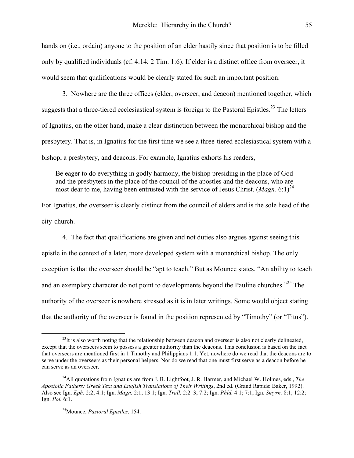hands on (i.e., ordain) anyone to the position of an elder hastily since that position is to be filled only by qualified individuals (cf. 4:14; 2 Tim. 1:6). If elder is a distinct office from overseer, it would seem that qualifications would be clearly stated for such an important position.

 3. Nowhere are the three offices (elder, overseer, and deacon) mentioned together, which suggests that a three-tiered ecclesiastical system is foreign to the Pastoral Epistles.<sup>23</sup> The letters of Ignatius, on the other hand, make a clear distinction between the monarchical bishop and the presbytery. That is, in Ignatius for the first time we see a three-tiered ecclesiastical system with a bishop, a presbytery, and deacons. For example, Ignatius exhorts his readers,

Be eager to do everything in godly harmony, the bishop presiding in the place of God and the presbyters in the place of the council of the apostles and the deacons, who are most dear to me, having been entrusted with the service of Jesus Christ.  $(Magn. 6:1)^{24}$ 

For Ignatius, the overseer is clearly distinct from the council of elders and is the sole head of the city-church.

 4. The fact that qualifications are given and not duties also argues against seeing this epistle in the context of a later, more developed system with a monarchical bishop. The only exception is that the overseer should be "apt to teach." But as Mounce states, "An ability to teach and an exemplary character do not point to developments beyond the Pauline churches."<sup>25</sup> The authority of the overseer is nowhere stressed as it is in later writings. Some would object stating that the authority of the overseer is found in the position represented by "Timothy" (or "Titus").

<span id="page-10-0"></span> $^{23}$ It is also worth noting that the relationship between deacon and overseer is also not clearly delineated, except that the overseers seem to possess a greater authority than the deacons. This conclusion is based on the fact that overseers are mentioned first in 1 Timothy and Philippians 1:1. Yet, nowhere do we read that the deacons are to serve under the overseers as their personal helpers. Nor do we read that one must first serve as a deacon before he can serve as an overseer.

<span id="page-10-1"></span><sup>24</sup>All quotations from Ignatius are from J. B. Lightfoot, J. R. Harmer, and Michael W. Holmes, eds., *The Apostolic Fathers: Greek Text and English Translations of Their Writings*, 2nd ed. (Grand Rapids: Baker, 1992). Also see Ign. *Eph.* 2:2; 4:1; Ign. *Magn.* 2:1; 13:1; Ign. *Trall.* 2:2–3; 7:2; Ign. *Phld.* 4:1; 7:1; Ign. *Smyrn.* 8:1; 12:2; Ign. *Pol.* 6:1.

<span id="page-10-2"></span><sup>25</sup>Mounce, *Pastoral Epistles*, 154.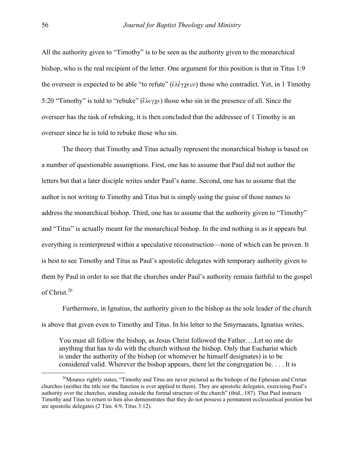All the authority given to "Timothy" is to be seen as the authority given to the monarchical bishop, who is the real recipient of the letter. One argument for this position is that in Titus 1:9 the overseer is expected to be able "to refute" ( $\epsilon \lambda \epsilon \gamma \chi \epsilon \nu$ ) those who contradict. Yet, in 1 Timothy 5:20 "Timothy" is told to "rebuke" ( $\epsilon \lambda \epsilon \gamma \chi \epsilon$ ) those who sin in the presence of all. Since the overseer has the task of rebuking, it is then concluded that the addressee of 1 Timothy is an overseer since he is told to rebuke those who sin.

 The theory that Timothy and Titus actually represent the monarchical bishop is based on a number of questionable assumptions. First, one has to assume that Paul did not author the letters but that a later disciple writes under Paul's name. Second, one has to assume that the author is not writing to Timothy and Titus but is simply using the guise of those names to address the monarchical bishop. Third, one has to assume that the authority given to "Timothy" and "Titus" is actually meant for the monarchical bishop. In the end nothing is as it appears but everything is reinterpreted within a speculative reconstruction—none of which can be proven. It is best to see Timothy and Titus as Paul's apostolic delegates with temporary authority given to them by Paul in order to see that the churches under Paul's authority remain faithful to the gospel of Christ<sup>[26](#page-11-0)</sup>

 Furthermore, in Ignatius, the authority given to the bishop as the sole leader of the church is above that given even to Timothy and Titus. In his letter to the Smyrnaeans, Ignatius writes,

You must all follow the bishop, as Jesus Christ followed the Father….Let no one do anything that has to do with the church without the bishop. Only that Eucharist which is under the authority of the bishop (or whomever he himself designates) is to be considered valid. Wherever the bishop appears, there let the congregation be. . . . It is

<span id="page-11-0"></span><sup>&</sup>lt;sup>26</sup>Mounce rightly states, "Timothy and Titus are never pictured as the bishops of the Ephesian and Cretan churches (neither the title nor the function is ever applied to them). They are apostolic delegates, exercising Paul's authority over the churches, standing outside the formal structure of the church" (ibid., 187). That Paul instructs Timothy and Titus to return to him also demonstrates that they do not possess a permanent ecclesiastical position but are apostolic delegates (2 Tim. 4:9, Titus 3:12).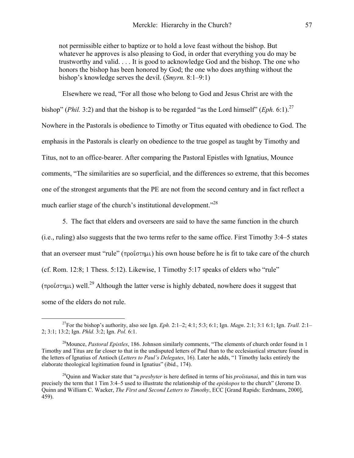not permissible either to baptize or to hold a love feast without the bishop. But whatever he approves is also pleasing to God, in order that everything you do may be trustworthy and valid. . . . It is good to acknowledge God and the bishop. The one who honors the bishop has been honored by God; the one who does anything without the bishop's knowledge serves the devil. (*Smyrn.* 8:1–9:1)

 Elsewhere we read, "For all those who belong to God and Jesus Christ are with the bishop" (*Phil.* 3:2) and that the bishop is to be regarded "as the Lord himself" (*Eph.* 6:1).<sup>[27](#page-12-0)</sup> Nowhere in the Pastorals is obedience to Timothy or Titus equated with obedience to God. The emphasis in the Pastorals is clearly on obedience to the true gospel as taught by Timothy and Titus, not to an office-bearer. After comparing the Pastoral Epistles with Ignatius, Mounce comments, "The similarities are so superficial, and the differences so extreme, that this becomes one of the strongest arguments that the PE are not from the second century and in fact reflect a much earlier stage of the church's institutional development."[28](#page-12-1)

 5. The fact that elders and overseers are said to have the same function in the church (i.e., ruling) also suggests that the two terms refer to the same office. First Timothy 3:4–5 states that an overseer must "rule" ( $\pi \rho o \dot{\tau} \sigma \eta \mu \nu$ ) his own house before he is fit to take care of the church (cf. Rom. 12:8; 1 Thess. 5:12). Likewise, 1 Timothy 5:17 speaks of elders who "rule"  $(\pi \rho o \dot{\rho} \sigma)$  well.<sup>29</sup> Although the latter verse is highly debated, nowhere does it suggest that some of the elders do not rule.

<span id="page-12-0"></span> <sup>27</sup>For the bishop's authority, also see Ign. *Eph.* 2:1–2; 4:1; 5:3; 6:1; Ign. *Magn*. 2:1; 3:1 6:1; Ign. *Trall.* 2:1– 2; 3:1; 13:2; Ign. *Phld.* 3:2; Ign. *Pol.* 6:1.

<span id="page-12-1"></span><sup>28</sup>Mounce, *Pastoral Epistles*, 186. Johnson similarly comments, "The elements of church order found in 1 Timothy and Titus are far closer to that in the undisputed letters of Paul than to the ecclesiastical structure found in the letters of Ignatius of Antioch (*Letters to Paul's Delegates*, 16). Later he adds, "1 Timothy lacks entirely the elaborate theological legitimation found in Ignatius" (ibid., 174).

<span id="page-12-2"></span><sup>29</sup>Quinn and Wacker state that "a *presbyter* is here defined in terms of his *proïstanai*, and this in turn was precisely the term that 1 Tim 3:4–5 used to illustrate the relationship of the *episkopos* to the church" (Jerome D. Quinn and William C. Wacker, *The First and Second Letters to Timothy*, ECC [Grand Rapids: Eerdmans, 2000], 459).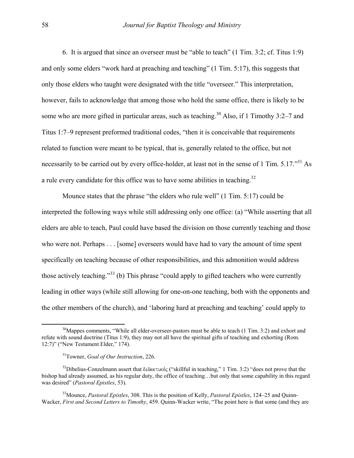<span id="page-13-3"></span> 6. It is argued that since an overseer must be "able to teach" (1 Tim. 3:2; cf. Titus 1:9) and only some elders "work hard at preaching and teaching" (1 Tim. 5:17), this suggests that only those elders who taught were designated with the title "overseer." This interpretation, however, fails to acknowledge that among those who hold the same office, there is likely to be some who are more gifted in particular areas, such as teaching.<sup>30</sup> Also, if 1 Timothy 3:2–7 and Titus 1:7–9 represent preformed traditional codes, "then it is conceivable that requirements related to function were meant to be typical, that is, generally related to the office, but not necessarily to be carried out by every office-holder, at least not in the sense of 1 Tim. 5.17."<sup>31</sup> As a rule every candidate for this office was to have some abilities in teaching.<sup>32</sup>

 Mounce states that the phrase "the elders who rule well" (1 Tim. 5:17) could be interpreted the following ways while still addressing only one office: (a) "While asserting that all elders are able to teach, Paul could have based the division on those currently teaching and those who were not. Perhaps . . . [some] overseers would have had to vary the amount of time spent specifically on teaching because of other responsibilities, and this admonition would address those actively teaching."<sup>33</sup> (b) This phrase "could apply to gifted teachers who were currently leading in other ways (while still allowing for one-on-one teaching, both with the opponents and the other members of the church), and 'laboring hard at preaching and teaching' could apply to

<span id="page-13-0"></span> $30$ Mappes comments, "While all elder-overseer-pastors must be able to teach (1 Tim. 3:2) and exhort and refute with sound doctrine (Titus 1:9), they may not all have the spiritual gifts of teaching and exhorting (Rom. 12:7)" ("New Testament Elder," 174).

<span id="page-13-2"></span><span id="page-13-1"></span><sup>31</sup>Towner, *Goal of Our Instruction*, 226.

<sup>&</sup>lt;sup>32</sup>Dibelius-Conzelmann assert that διδακτικός ("skillful in teaching," 1 Tim. 3:2) "does not prove that the bishop had already assumed, as his regular duty, the office of teaching…but only that some capability in this regard was desired" (*Pastoral Epistles*, 53).

<sup>33</sup>Mounce, *Pastoral Epistles*, 308. This is the position of Kelly, *Pastoral Epistles*, 124–25 and Quinn-Wacker, *First and Second Letters to Timothy*, 459. Quinn-Wacker write, "The point here is that some (and they are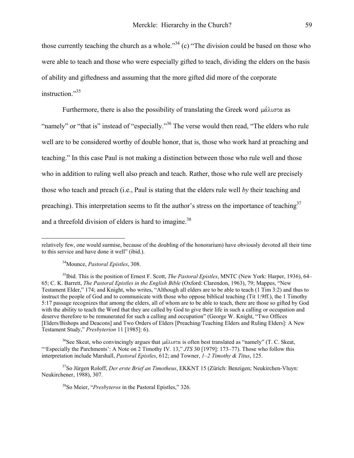those currently teaching the church as a whole."<sup>34</sup> (c) "The division could be based on those who were able to teach and those who were especially gifted to teach, dividing the elders on the basis of ability and giftedness and assuming that the more gifted did more of the corporate instruction."<sup>[35](#page-14-1)</sup>

Furthermore, there is also the possibility of translating the Greek word  $\mu\alpha\lambda\sigma\tau\alpha$  as "namely" or "that is" instead of "especially."<sup>36</sup> The verse would then read, "The elders who rule well are to be considered worthy of double honor, that is, those who work hard at preaching and teaching." In this case Paul is not making a distinction between those who rule well and those who in addition to ruling well also preach and teach. Rather, those who rule well are precisely those who teach and preach (i.e., Paul is stating that the elders rule well *by* their teaching and preaching). This interpretation seems to fit the author's stress on the importance of teaching<sup>37</sup> and a threefold division of elders is hard to imagine.<sup>[38](#page-14-4)</sup>

 $\overline{a}$ 

<span id="page-14-2"></span><sup>36</sup>See Skeat, who convincingly argues that  $\mu\alpha\lambda\sigma\alpha$  is often best translated as "namely" (T. C. Skeat, "'Especially the Parchments': A Note on 2 Timothy IV. 13," *JTS* 30 [1979]: 173–77). Those who follow this interpretation include Marshall, *Pastoral Epistles*, 612; and Towner, *1–2 Timothy & Titus*, 125.

37So Jürgen Roloff, *Der erste Brief an Timotheus*, EKKNT 15 (Zürich: Benzigen; Neukirchen-Vluyn: Neukirchener, 1988), 307.

<span id="page-14-4"></span><span id="page-14-3"></span>38So Meier, "*Presbyteros* in the Pastoral Epistles," 326.

relatively few, one would surmise, because of the doubling of the honorarium) have obviously devoted all their time to this service and have done it well" (ibid.).

<span id="page-14-1"></span><span id="page-14-0"></span><sup>34</sup>Mounce, *Pastoral Epistles*, 308.

<sup>35</sup>Ibid. This is the position of Ernest F. Scott, *The Pastoral Epistles*, MNTC (New York: Harper, 1936), 64– 65; C. K. Barrett, *The Pastoral Epistles in the English Bible* (Oxford: Clarendon, 1963), 79; Mappes, "New Testament Elder," 174; and Knight, who writes, "Although all elders are to be able to teach (1 Tim 3:2) and thus to instruct the people of God and to communicate with those who oppose biblical teaching (Tit 1:9ff.), the 1 Timothy 5:17 passage recognizes that among the elders, all of whom are to be able to teach, there are those so gifted by God with the ability to teach the Word that they are called by God to give their life in such a calling or occupation and deserve therefore to be remunerated for such a calling and occupation" (George W. Knight, "Two Offices [Elders/Bishops and Deacons] and Two Orders of Elders [Preaching/Teaching Elders and Ruling Elders]: A New Testament Study," *Presbyterion* 11 [1985]: 6).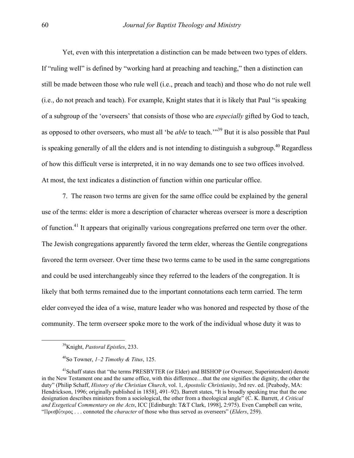Yet, even with this interpretation a distinction can be made between two types of elders. If "ruling well" is defined by "working hard at preaching and teaching," then a distinction can still be made between those who rule well (i.e., preach and teach) and those who do not rule well (i.e., do not preach and teach). For example, Knight states that it is likely that Paul "is speaking of a subgroup of the 'overseers' that consists of those who are *especially* gifted by God to teach, as opposed to other overseers, who must all 'be *able* to teach.'"[39 B](#page-15-0)ut it is also possible that Paul is speaking generally of all the elders and is not intending to distinguish a subgroup.<sup>40</sup> Regardless of how this difficult verse is interpreted, it in no way demands one to see two offices involved. At most, the text indicates a distinction of function within one particular office.

 7. The reason two terms are given for the same office could be explained by the general use of the terms: elder is more a description of character whereas overseer is more a description of function.[41](#page-15-2) It appears that originally various congregations preferred one term over the other. The Jewish congregations apparently favored the term elder, whereas the Gentile congregations favored the term overseer. Over time these two terms came to be used in the same congregations and could be used interchangeably since they referred to the leaders of the congregation. It is likely that both terms remained due to the important connotations each term carried. The term elder conveyed the idea of a wise, mature leader who was honored and respected by those of the community. The term overseer spoke more to the work of the individual whose duty it was to

<span id="page-15-0"></span><sup>39</sup>Knight, *Pastoral Epistles*, 233.

<span id="page-15-2"></span><span id="page-15-1"></span><sup>40</sup>So Towner, *1–2 Timothy & Titus*, 125.

<sup>&</sup>lt;sup>41</sup>Schaff states that "the terms PRESBYTER (or Elder) and BISHOP (or Overseer, Superintendent) denote in the New Testament one and the same office, with this difference…that the one signifies the dignity, the other the duty" (Philip Schaff, *History of the Christian Church*, vol. 1, *Apostolic Christianity*, 3rd rev. ed. [Peabody, MA: Hendrickson, 1996; originally published in 1858], 491–92). Barrett states, "It is broadly speaking true that the one designation describes ministers from a sociological, the other from a theological angle" (C. K. Barrett, *A Critical and Exegetical Commentary on the Acts*, ICC [Edinburgh: T&T Clark, 1998], 2:975). Even Campbell can write, "Πρεσβύτερος . . . connoted the *character* of those who thus served as overseers" (*Elders*, 259).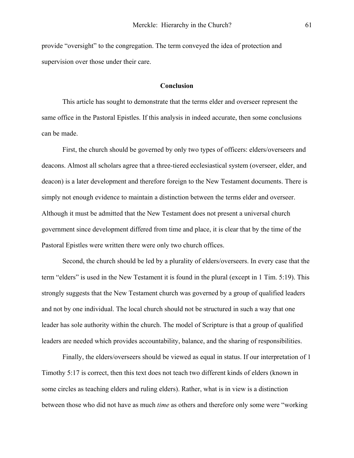provide "oversight" to the congregation. The term conveyed the idea of protection and supervision over those under their care.

## **Conclusion**

 This article has sought to demonstrate that the terms elder and overseer represent the same office in the Pastoral Epistles. If this analysis in indeed accurate, then some conclusions can be made.

 First, the church should be governed by only two types of officers: elders/overseers and deacons. Almost all scholars agree that a three-tiered ecclesiastical system (overseer, elder, and deacon) is a later development and therefore foreign to the New Testament documents. There is simply not enough evidence to maintain a distinction between the terms elder and overseer. Although it must be admitted that the New Testament does not present a universal church government since development differed from time and place, it is clear that by the time of the Pastoral Epistles were written there were only two church offices.

 Second, the church should be led by a plurality of elders/overseers. In every case that the term "elders" is used in the New Testament it is found in the plural (except in 1 Tim. 5:19). This strongly suggests that the New Testament church was governed by a group of qualified leaders and not by one individual. The local church should not be structured in such a way that one leader has sole authority within the church. The model of Scripture is that a group of qualified leaders are needed which provides accountability, balance, and the sharing of responsibilities.

 Finally, the elders/overseers should be viewed as equal in status. If our interpretation of 1 Timothy 5:17 is correct, then this text does not teach two different kinds of elders (known in some circles as teaching elders and ruling elders). Rather, what is in view is a distinction between those who did not have as much *time* as others and therefore only some were "working